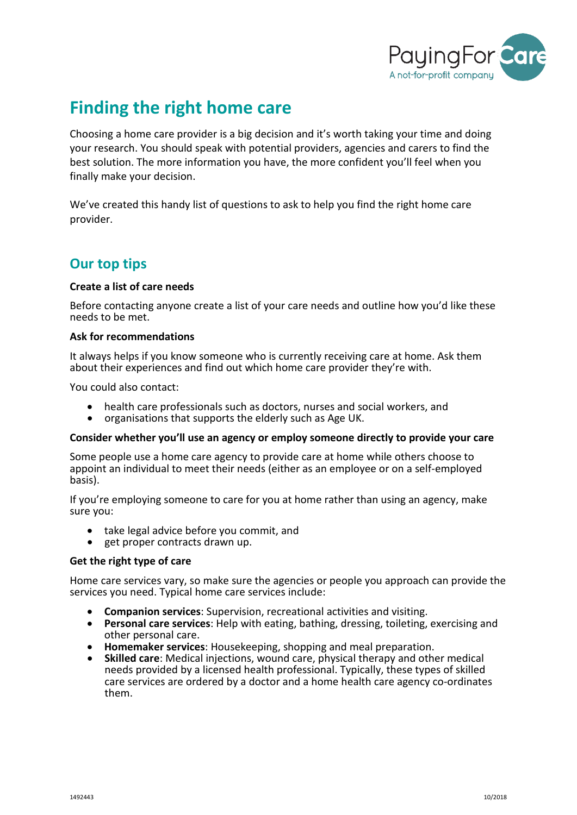

# **Finding the right home care**

Choosing a home care provider is a big decision and it's worth taking your time and doing your research. You should speak with potential providers, agencies and carers to find the best solution. The more information you have, the more confident you'll feel when you finally make your decision.

We've created this handy list of questions to ask to help you find the right home care provider.

# **Our top tips**

#### **Create a list of care needs**

Before contacting anyone create a list of your care needs and outline how you'd like these needs to be met.

#### **Ask for recommendations**

It always helps if you know someone who is currently receiving care at home. Ask them about their experiences and find out which home care provider they're with.

You could also contact:

- health care professionals such as doctors, nurses and social workers, and<br>• organisations that supports the elderly such as Age UK.
- 

#### **Consider whether you'll use an agency or employ someone directly to provide your care**

Some people use a home care agency to provide care at home while others choose to appoint an individual to meet their needs (either as an employee or on a self-employed basis).

If you're employing someone to care for you at home rather than using an agency, make sure you:

- take legal advice before you commit, and<br>• get proper contracts drawn up.
- 

#### **Get the right type of care**

Home care services vary, so make sure the agencies or people you approach can provide the services you need. Typical home care services include:

- **Companion services**: Supervision, recreational activities and visiting.
- **Personal care services**: Help with eating, bathing, dressing, toileting, exercising and other personal care.
- **Homemaker services**: Housekeeping, shopping and meal preparation.
- **Skilled care**: Medical injections, wound care, physical therapy and other medical needs provided by a licensed health professional. Typically, these types of skilled care services are ordered by a doctor and a home health care agency co-ordinates them.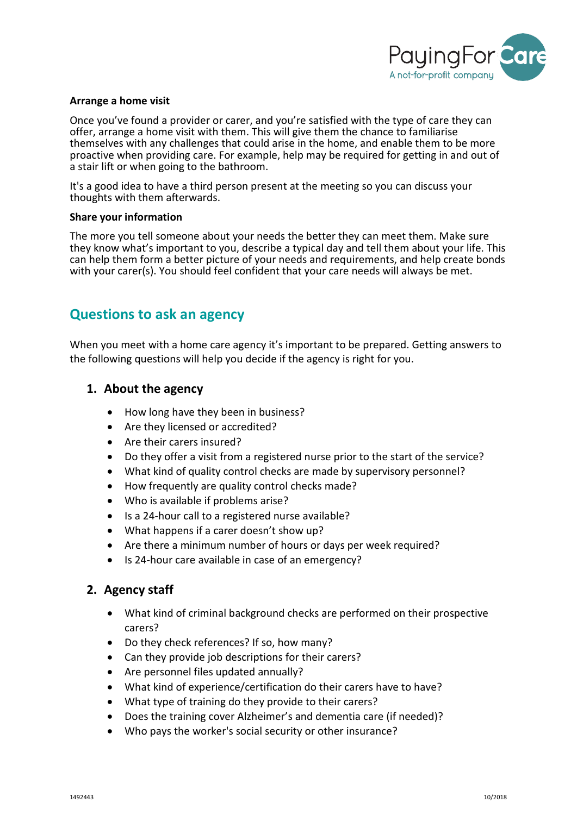

#### **Arrange a home visit**

Once you've found a provider or carer, and you're satisfied with the type of care they can offer, arrange a home visit with them. This will give them the chance to familiarise themselves with any challenges that could arise in the home, and enable them to be more proactive when providing care. For example, help may be required for getting in and out of a stair lift or when going to the bathroom.

It's a good idea to have a third person present at the meeting so you can discuss your thoughts with them afterwards.

#### **Share your information**

The more you tell someone about your needs the better they can meet them. Make sure they know what's important to you, describe a typical day and tell them about your life. This can help them form a better picture of your needs and requirements, and help create bonds with your carer(s). You should feel confident that your care needs will always be met.

# **Questions to ask an agency**

When you meet with a home care agency it's important to be prepared. Getting answers to the following questions will help you decide if the agency is right for you.

### **1. About the agency**

- How long have they been in business?
- Are they licensed or accredited?
- Are their carers insured?
- Do they offer a visit from a registered nurse prior to the start of the service?
- What kind of quality control checks are made by supervisory personnel?
- How frequently are quality control checks made?
- Who is available if problems arise?
- Is a 24-hour call to a registered nurse available?
- What happens if a carer doesn't show up?
- Are there a minimum number of hours or days per week required?
- Is 24-hour care available in case of an emergency?

### **2. Agency staff**

- What kind of criminal background checks are performed on their prospective carers?
- Do they check references? If so, how many?
- Can they provide job descriptions for their carers?
- Are personnel files updated annually?
- What kind of experience/certification do their carers have to have?
- What type of training do they provide to their carers?
- Does the training cover Alzheimer's and dementia care (if needed)?
- Who pays the worker's social security or other insurance?